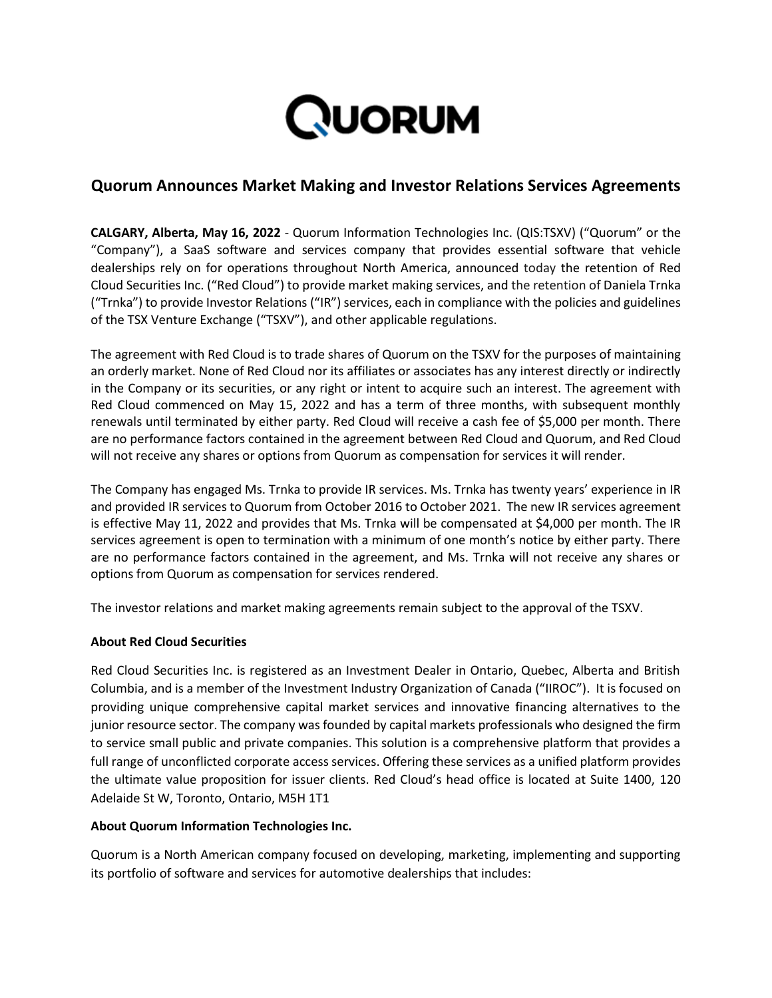

# **Quorum Announces Market Making and Investor Relations Services Agreements**

**CALGARY, Alberta, May 16, 2022** - Quorum Information Technologies Inc. (QIS:TSXV) ("Quorum" or the "Company"), a SaaS software and services company that provides essential software that vehicle dealerships rely on for operations throughout North America, announced today the retention of Red Cloud Securities Inc. ("Red Cloud") to provide market making services, and the retention of Daniela Trnka ("Trnka") to provide Investor Relations ("IR") services, each in compliance with the policies and guidelines of the TSX Venture Exchange ("TSXV"), and other applicable regulations.

The agreement with Red Cloud is to trade shares of Quorum on the TSXV for the purposes of maintaining an orderly market. None of Red Cloud nor its affiliates or associates has any interest directly or indirectly in the Company or its securities, or any right or intent to acquire such an interest. The agreement with Red Cloud commenced on May 15, 2022 and has a term of three months, with subsequent monthly renewals until terminated by either party. Red Cloud will receive a cash fee of \$5,000 per month. There are no performance factors contained in the agreement between Red Cloud and Quorum, and Red Cloud will not receive any shares or options from Quorum as compensation for services it will render.

The Company has engaged Ms. Trnka to provide IR services. Ms. Trnka has twenty years' experience in IR and provided IR services to Quorum from October 2016 to October 2021. The new IR services agreement is effective May 11, 2022 and provides that Ms. Trnka will be compensated at \$4,000 per month. The IR services agreement is open to termination with a minimum of one month's notice by either party. There are no performance factors contained in the agreement, and Ms. Trnka will not receive any shares or options from Quorum as compensation for services rendered.

The investor relations and market making agreements remain subject to the approval of the TSXV.

## **About Red Cloud Securities**

Red Cloud Securities Inc. is registered as an Investment Dealer in Ontario, Quebec, Alberta and British Columbia, and is a member of the Investment Industry Organization of Canada ("IIROC"). It is focused on providing unique comprehensive capital market services and innovative financing alternatives to the junior resource sector. The company was founded by capital markets professionals who designed the firm to service small public and private companies. This solution is a comprehensive platform that provides a full range of unconflicted corporate access services. Offering these services as a unified platform provides the ultimate value proposition for issuer clients. Red Cloud's head office is located at Suite 1400, 120 Adelaide St W, Toronto, Ontario, M5H 1T1

### **About Quorum Information Technologies Inc.**

Quorum is a North American company focused on developing, marketing, implementing and supporting its portfolio of software and services for automotive dealerships that includes: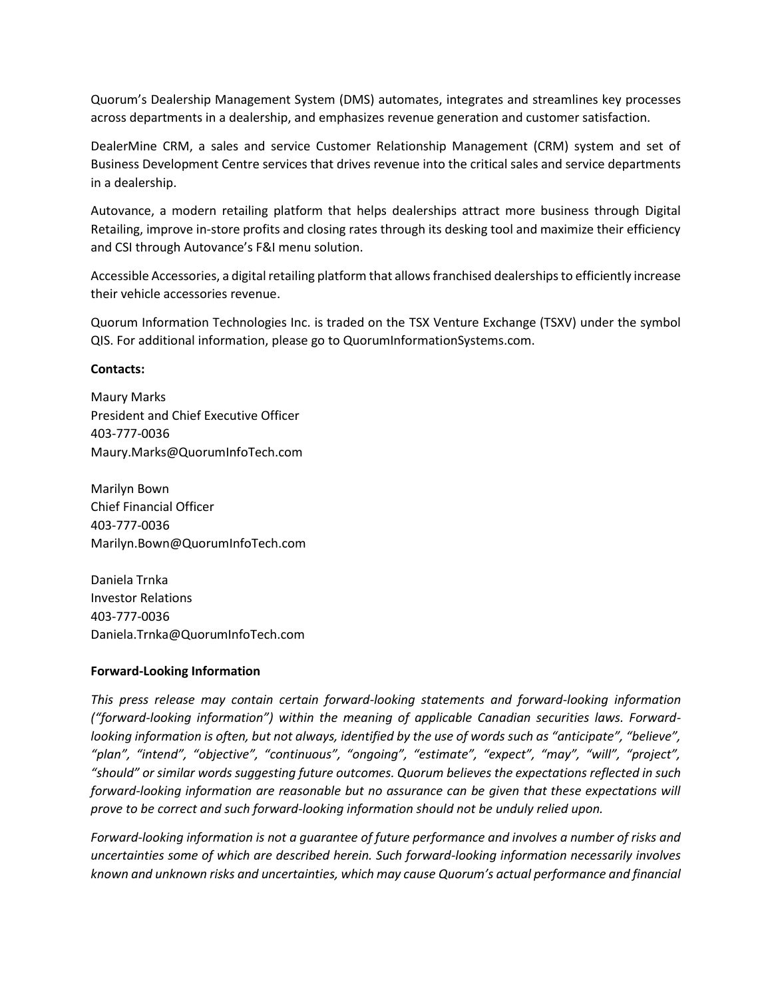Quorum's Dealership Management System (DMS) automates, integrates and streamlines key processes across departments in a dealership, and emphasizes revenue generation and customer satisfaction.

DealerMine CRM, a sales and service Customer Relationship Management (CRM) system and set of Business Development Centre services that drives revenue into the critical sales and service departments in a dealership.

Autovance, a modern retailing platform that helps dealerships attract more business through Digital Retailing, improve in-store profits and closing rates through its desking tool and maximize their efficiency and CSI through Autovance's F&I menu solution.

Accessible Accessories, a digital retailing platform that allows franchised dealerships to efficiently increase their vehicle accessories revenue.

Quorum Information Technologies Inc. is traded on the TSX Venture Exchange (TSXV) under the symbol QIS. For additional information, please go to QuorumInformationSystems.com.

### **Contacts:**

Maury Marks President and Chief Executive Officer 403-777-0036 Maury.Marks@QuorumInfoTech.com

Marilyn Bown Chief Financial Officer 403-777-0036 Marilyn.Bown@QuorumInfoTech.com

Daniela Trnka Investor Relations 403-777-0036 Daniela.Trnka@QuorumInfoTech.com

### **Forward-Looking Information**

*This press release may contain certain forward-looking statements and forward-looking information ("forward-looking information") within the meaning of applicable Canadian securities laws. Forwardlooking information is often, but not always, identified by the use of words such as "anticipate", "believe", "plan", "intend", "objective", "continuous", "ongoing", "estimate", "expect", "may", "will", "project", "should" or similar words suggesting future outcomes. Quorum believes the expectations reflected in such forward-looking information are reasonable but no assurance can be given that these expectations will prove to be correct and such forward-looking information should not be unduly relied upon.*

*Forward-looking information is not a guarantee of future performance and involves a number of risks and uncertainties some of which are described herein. Such forward-looking information necessarily involves known and unknown risks and uncertainties, which may cause Quorum's actual performance and financial*